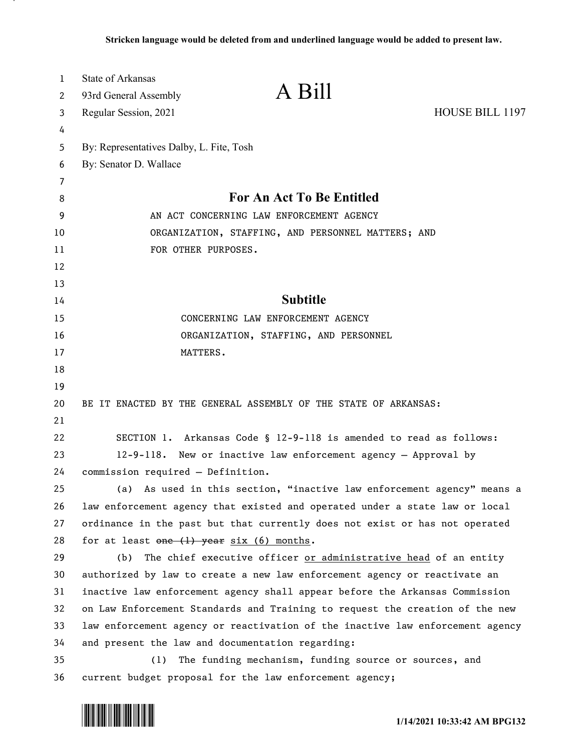| 1  | State of Arkansas                                              |                                                                               |                 |
|----|----------------------------------------------------------------|-------------------------------------------------------------------------------|-----------------|
| 2  | 93rd General Assembly                                          | A Bill                                                                        |                 |
| 3  | Regular Session, 2021                                          |                                                                               | HOUSE BILL 1197 |
| 4  |                                                                |                                                                               |                 |
| 5  | By: Representatives Dalby, L. Fite, Tosh                       |                                                                               |                 |
| 6  | By: Senator D. Wallace                                         |                                                                               |                 |
| 7  |                                                                |                                                                               |                 |
| 8  | For An Act To Be Entitled                                      |                                                                               |                 |
| 9  | AN ACT CONCERNING LAW ENFORCEMENT AGENCY                       |                                                                               |                 |
| 10 | ORGANIZATION, STAFFING, AND PERSONNEL MATTERS; AND             |                                                                               |                 |
| 11 | FOR OTHER PURPOSES.                                            |                                                                               |                 |
| 12 |                                                                |                                                                               |                 |
| 13 |                                                                |                                                                               |                 |
| 14 |                                                                | <b>Subtitle</b>                                                               |                 |
| 15 |                                                                | CONCERNING LAW ENFORCEMENT AGENCY                                             |                 |
| 16 | ORGANIZATION, STAFFING, AND PERSONNEL                          |                                                                               |                 |
| 17 | MATTERS.                                                       |                                                                               |                 |
| 18 |                                                                |                                                                               |                 |
| 19 |                                                                |                                                                               |                 |
| 20 |                                                                | BE IT ENACTED BY THE GENERAL ASSEMBLY OF THE STATE OF ARKANSAS:               |                 |
| 21 |                                                                |                                                                               |                 |
| 22 |                                                                | SECTION 1. Arkansas Code § 12-9-118 is amended to read as follows:            |                 |
| 23 | 12-9-118. New or inactive law enforcement agency - Approval by |                                                                               |                 |
| 24 | commission required - Definition.                              |                                                                               |                 |
| 25 |                                                                | (a) As used in this section, "inactive law enforcement agency" means a        |                 |
| 26 |                                                                | law enforcement agency that existed and operated under a state law or local   |                 |
| 27 |                                                                | ordinance in the past but that currently does not exist or has not operated   |                 |
| 28 | for at least $one$ $(1)$ year $six$ $(6)$ months.              |                                                                               |                 |
| 29 | (b)                                                            | The chief executive officer or administrative head of an entity               |                 |
| 30 |                                                                | authorized by law to create a new law enforcement agency or reactivate an     |                 |
| 31 |                                                                | inactive law enforcement agency shall appear before the Arkansas Commission   |                 |
| 32 |                                                                | on Law Enforcement Standards and Training to request the creation of the new  |                 |
| 33 |                                                                | law enforcement agency or reactivation of the inactive law enforcement agency |                 |
| 34 | and present the law and documentation regarding:               |                                                                               |                 |
| 35 | (1)                                                            | The funding mechanism, funding source or sources, and                         |                 |
| 36 |                                                                | current budget proposal for the law enforcement agency;                       |                 |

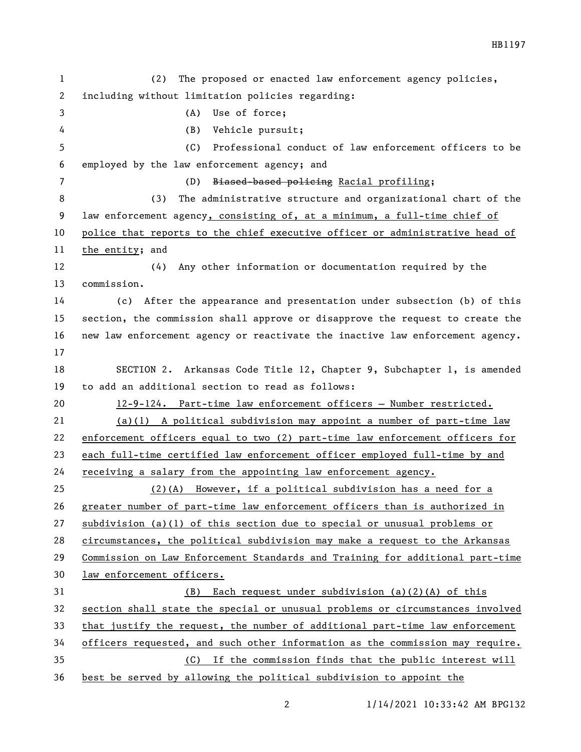| $\mathbf{1}$   | The proposed or enacted law enforcement agency policies,<br>(2)               |  |  |
|----------------|-------------------------------------------------------------------------------|--|--|
| $\mathbf{2}$   | including without limitation policies regarding:                              |  |  |
| 3              | Use of force;<br>(A)                                                          |  |  |
| 4              | (B)<br>Vehicle pursuit;                                                       |  |  |
| 5              | Professional conduct of law enforcement officers to be<br>(C)                 |  |  |
| 6              | employed by the law enforcement agency; and                                   |  |  |
| $\overline{7}$ | Biased-based policing Racial profiling;<br>(D)                                |  |  |
| 8              | The administrative structure and organizational chart of the<br>(3)           |  |  |
| 9              | law enforcement agency, consisting of, at a minimum, a full-time chief of     |  |  |
| 10             | police that reports to the chief executive officer or administrative head of  |  |  |
| 11             | the entity; and                                                               |  |  |
| 12             | (4)<br>Any other information or documentation required by the                 |  |  |
| 13             | commission.                                                                   |  |  |
| 14             | (c) After the appearance and presentation under subsection (b) of this        |  |  |
| 15             | section, the commission shall approve or disapprove the request to create the |  |  |
| 16             | new law enforcement agency or reactivate the inactive law enforcement agency. |  |  |
| 17             |                                                                               |  |  |
| 18             | SECTION 2. Arkansas Code Title 12, Chapter 9, Subchapter 1, is amended        |  |  |
| 19             | to add an additional section to read as follows:                              |  |  |
| 20             | 12-9-124. Part-time law enforcement officers - Number restricted.             |  |  |
| 21             | $(a)(1)$ A political subdivision may appoint a number of part-time law        |  |  |
| 22             | enforcement officers equal to two (2) part-time law enforcement officers for  |  |  |
| 23             | each full-time certified law enforcement officer employed full-time by and    |  |  |
| 24             | <u>receiving a salary from the appointing law enforcement agency.</u>         |  |  |
| 25             | (2)(A) However, if a political subdivision has a need for a                   |  |  |
| 26             | greater number of part-time law enforcement officers than is authorized in    |  |  |
| 27             | subdivision (a)(1) of this section due to special or unusual problems or      |  |  |
| 28             | circumstances, the political subdivision may make a request to the Arkansas   |  |  |
| 29             | Commission on Law Enforcement Standards and Training for additional part-time |  |  |
| 30             | law enforcement officers.                                                     |  |  |
| 31             | Each request under subdivision $(a)(2)(A)$ of this<br>(B)                     |  |  |
| 32             | section shall state the special or unusual problems or circumstances involved |  |  |
| 33             | that justify the request, the number of additional part-time law enforcement  |  |  |
| 34             |                                                                               |  |  |
|                | officers requested, and such other information as the commission may require. |  |  |
| 35             | (C) If the commission finds that the public interest will                     |  |  |

1/14/2021 10:33:42 AM BPG132